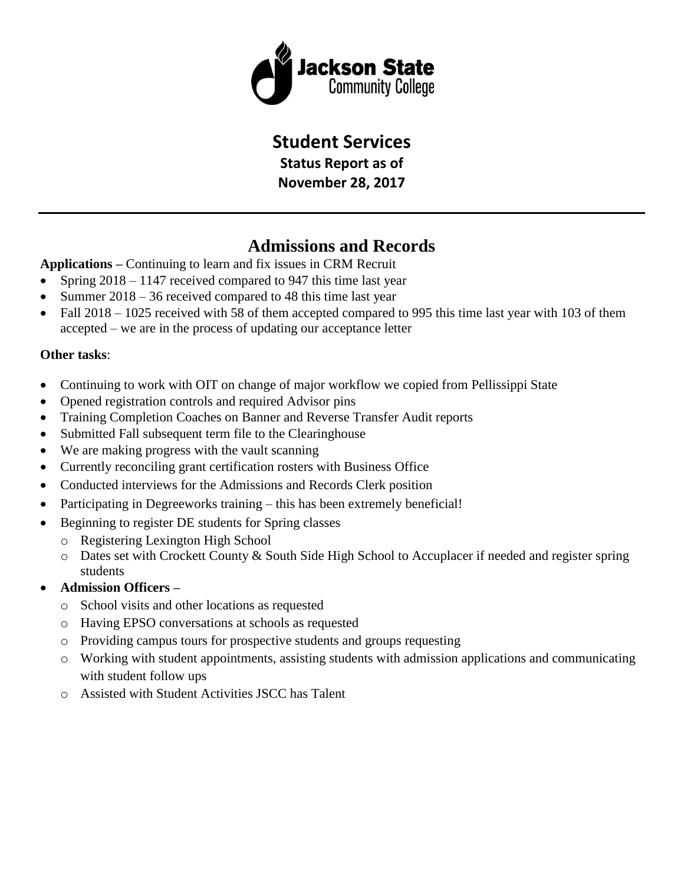

## **Student Services**

**Status Report as of November 28, 2017**

## **Admissions and Records**

**Applications –** Continuing to learn and fix issues in CRM Recruit

- Spring  $2018 1147$  received compared to 947 this time last year
- Summer 2018 36 received compared to 48 this time last year
- Fall 2018 1025 received with 58 of them accepted compared to 995 this time last year with 103 of them accepted – we are in the process of updating our acceptance letter

### **Other tasks**:

- Continuing to work with OIT on change of major workflow we copied from Pellissippi State
- Opened registration controls and required Advisor pins
- Training Completion Coaches on Banner and Reverse Transfer Audit reports
- Submitted Fall subsequent term file to the Clearinghouse
- We are making progress with the vault scanning
- Currently reconciling grant certification rosters with Business Office
- Conducted interviews for the Admissions and Records Clerk position
- Participating in Degreeworks training this has been extremely beneficial!
- Beginning to register DE students for Spring classes
	- o Registering Lexington High School
	- o Dates set with Crockett County & South Side High School to Accuplacer if needed and register spring students
- **Admission Officers –**
	- o School visits and other locations as requested
	- o Having EPSO conversations at schools as requested
	- o Providing campus tours for prospective students and groups requesting
	- o Working with student appointments, assisting students with admission applications and communicating with student follow ups
	- o Assisted with Student Activities JSCC has Talent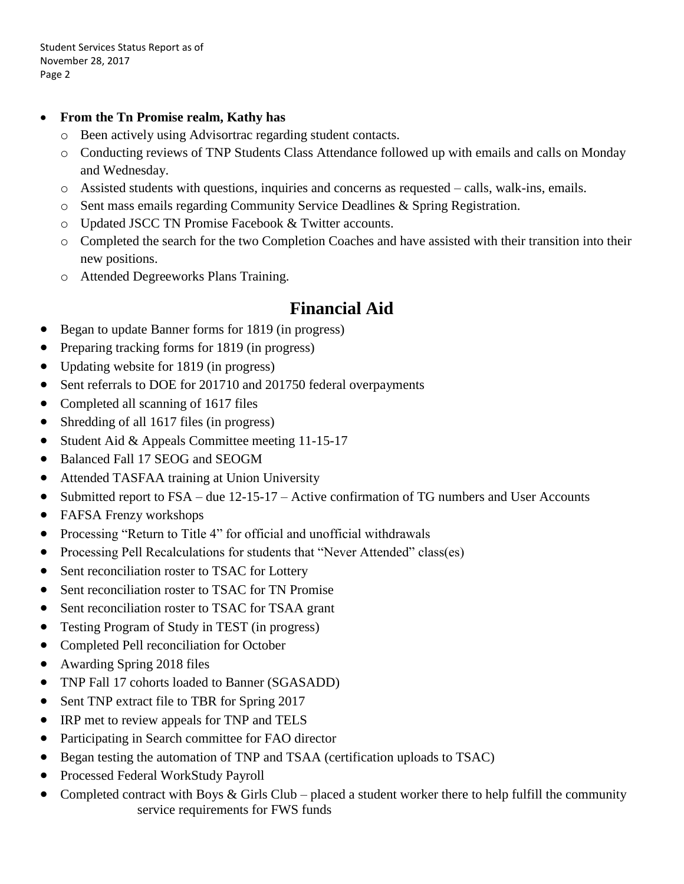Student Services Status Report as of November 28, 2017 Page 2

### **From the Tn Promise realm, Kathy has**

- o Been actively using Advisortrac regarding student contacts.
- o Conducting reviews of TNP Students Class Attendance followed up with emails and calls on Monday and Wednesday.
- o Assisted students with questions, inquiries and concerns as requested calls, walk-ins, emails.
- o Sent mass emails regarding Community Service Deadlines & Spring Registration.
- o Updated JSCC TN Promise Facebook & Twitter accounts.
- o Completed the search for the two Completion Coaches and have assisted with their transition into their new positions.
- o Attended Degreeworks Plans Training.

## **Financial Aid**

- Began to update Banner forms for 1819 (in progress)
- Preparing tracking forms for 1819 (in progress)
- Updating website for 1819 (in progress)
- Sent referrals to DOE for 201710 and 201750 federal overpayments
- Completed all scanning of 1617 files
- Shredding of all 1617 files (in progress)
- Student Aid & Appeals Committee meeting 11-15-17
- Balanced Fall 17 SEOG and SEOGM
- Attended TASFAA training at Union University
- Submitted report to FSA due 12-15-17 Active confirmation of TG numbers and User Accounts
- FAFSA Frenzy workshops
- Processing "Return to Title 4" for official and unofficial withdrawals
- Processing Pell Recalculations for students that "Never Attended" class(es)
- Sent reconciliation roster to TSAC for Lottery
- Sent reconciliation roster to TSAC for TN Promise
- Sent reconciliation roster to TSAC for TSAA grant
- Testing Program of Study in TEST (in progress)
- Completed Pell reconciliation for October
- Awarding Spring 2018 files
- TNP Fall 17 cohorts loaded to Banner (SGASADD)
- Sent TNP extract file to TBR for Spring 2017
- IRP met to review appeals for TNP and TELS
- Participating in Search committee for FAO director
- Began testing the automation of TNP and TSAA (certification uploads to TSAC)
- Processed Federal WorkStudy Payroll
- Completed contract with Boys & Girls Club placed a student worker there to help fulfill the community service requirements for FWS funds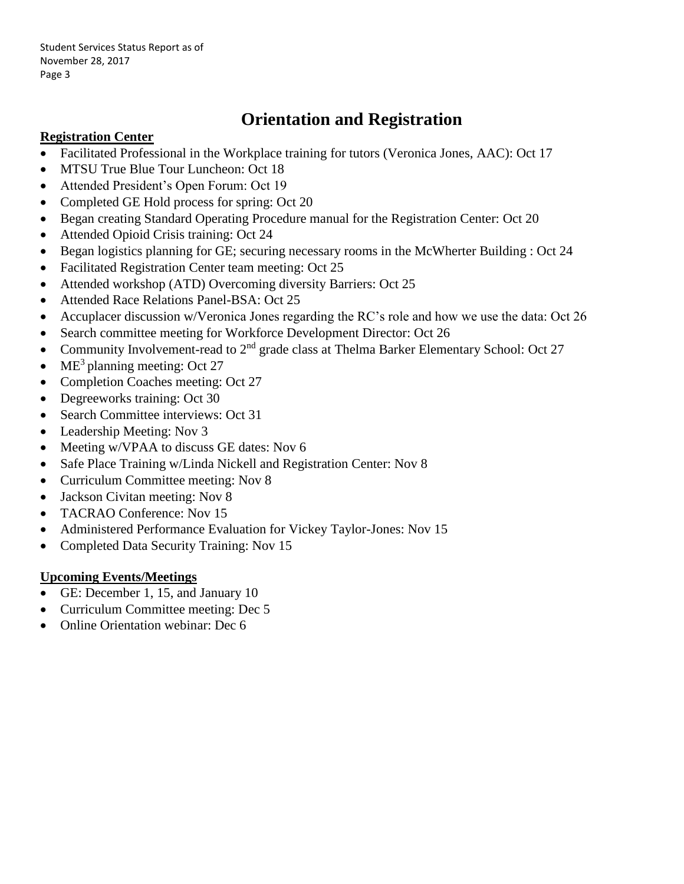Student Services Status Report as of November 28, 2017 Page 3

# **Orientation and Registration**

### **Registration Center**

- Facilitated Professional in the Workplace training for tutors (Veronica Jones, AAC): Oct 17
- MTSU True Blue Tour Luncheon: Oct 18
- Attended President's Open Forum: Oct 19
- Completed GE Hold process for spring: Oct 20
- Began creating Standard Operating Procedure manual for the Registration Center: Oct 20
- Attended Opioid Crisis training: Oct 24
- Began logistics planning for GE; securing necessary rooms in the McWherter Building : Oct 24
- Facilitated Registration Center team meeting: Oct 25
- Attended workshop (ATD) Overcoming diversity Barriers: Oct 25
- Attended Race Relations Panel-BSA: Oct 25
- Accuplacer discussion w/Veronica Jones regarding the RC's role and how we use the data: Oct 26
- Search committee meeting for Workforce Development Director: Oct 26
- Community Involvement-read to  $2<sup>nd</sup>$  grade class at Thelma Barker Elementary School: Oct 27
- $ME<sup>3</sup>$  planning meeting: Oct 27
- Completion Coaches meeting: Oct 27
- Degreeworks training: Oct 30
- Search Committee interviews: Oct 31
- Leadership Meeting: Nov 3
- Meeting w/VPAA to discuss GE dates: Nov 6
- Safe Place Training w/Linda Nickell and Registration Center: Nov 8
- Curriculum Committee meeting: Nov 8
- Jackson Civitan meeting: Nov 8
- TACRAO Conference: Nov 15
- Administered Performance Evaluation for Vickey Taylor-Jones: Nov 15
- Completed Data Security Training: Nov 15

## **Upcoming Events/Meetings**

- GE: December 1, 15, and January 10
- Curriculum Committee meeting: Dec 5
- Online Orientation webinar: Dec 6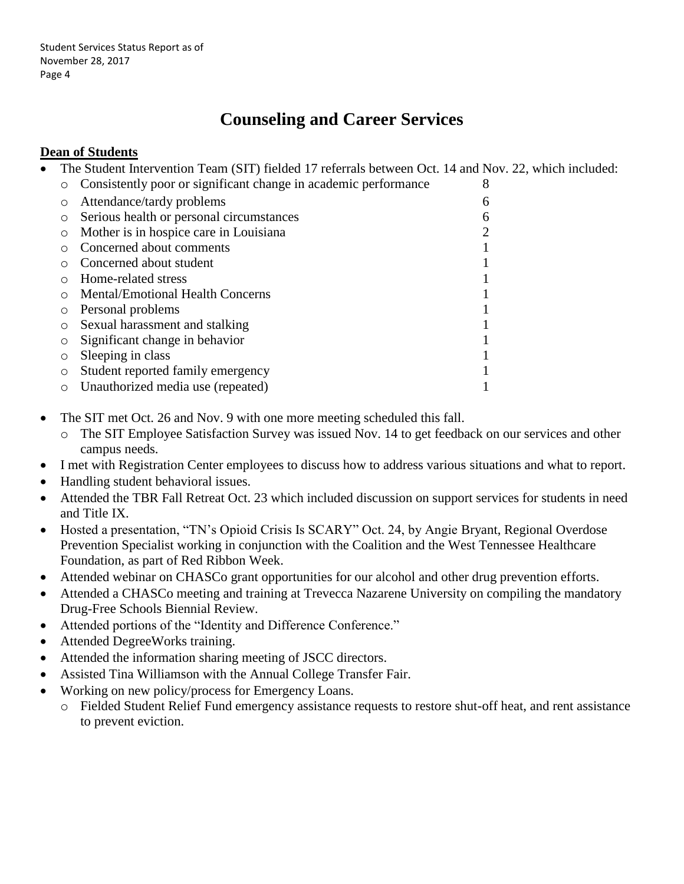# **Counseling and Career Services**

## **Dean of Students**

The Student Intervention Team (SIT) fielded 17 referrals between Oct. 14 and Nov. 22, which included:

|         | Consistently poor or significant change in academic performance | 8 |
|---------|-----------------------------------------------------------------|---|
|         | Attendance/tardy problems                                       | 6 |
| O       | Serious health or personal circumstances                        | 6 |
| O       | Mother is in hospice care in Louisiana                          |   |
|         | Concerned about comments                                        |   |
|         | Concerned about student                                         |   |
|         | Home-related stress                                             |   |
|         | Mental/Emotional Health Concerns                                |   |
|         | Personal problems                                               |   |
| $\circ$ | Sexual harassment and stalking                                  |   |
| O       | Significant change in behavior                                  |   |
| O       | Sleeping in class                                               |   |
| O       | Student reported family emergency                               |   |
|         | Unauthorized media use (repeated)                               |   |

- The SIT met Oct. 26 and Nov. 9 with one more meeting scheduled this fall.
	- o The SIT Employee Satisfaction Survey was issued Nov. 14 to get feedback on our services and other campus needs.
- I met with Registration Center employees to discuss how to address various situations and what to report.
- Handling student behavioral issues.
- Attended the TBR Fall Retreat Oct. 23 which included discussion on support services for students in need and Title IX.
- Hosted a presentation, "TN's Opioid Crisis Is SCARY" Oct. 24, by Angie Bryant, Regional Overdose Prevention Specialist working in conjunction with the Coalition and the West Tennessee Healthcare Foundation, as part of Red Ribbon Week.
- Attended webinar on CHASCo grant opportunities for our alcohol and other drug prevention efforts.
- Attended a CHASCo meeting and training at Trevecca Nazarene University on compiling the mandatory Drug-Free Schools Biennial Review.
- Attended portions of the "Identity and Difference Conference."
- Attended DegreeWorks training.
- Attended the information sharing meeting of JSCC directors.
- Assisted Tina Williamson with the Annual College Transfer Fair.
- Working on new policy/process for Emergency Loans.
	- o Fielded Student Relief Fund emergency assistance requests to restore shut-off heat, and rent assistance to prevent eviction.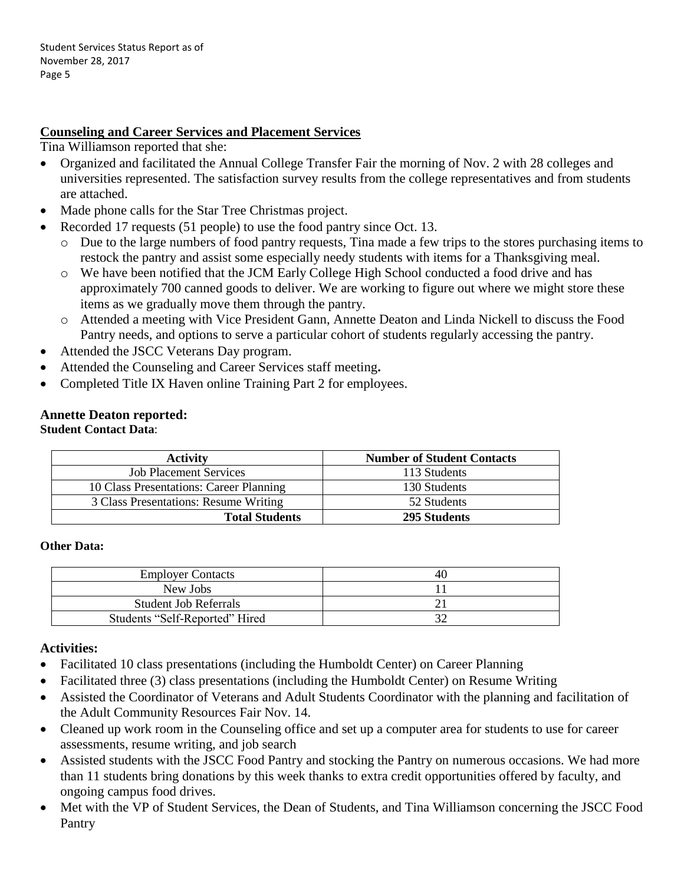### **Counseling and Career Services and Placement Services**

Tina Williamson reported that she:

- Organized and facilitated the Annual College Transfer Fair the morning of Nov. 2 with 28 colleges and universities represented. The satisfaction survey results from the college representatives and from students are attached.
- Made phone calls for the Star Tree Christmas project.
- Recorded 17 requests (51 people) to use the food pantry since Oct. 13.
	- o Due to the large numbers of food pantry requests, Tina made a few trips to the stores purchasing items to restock the pantry and assist some especially needy students with items for a Thanksgiving meal.
	- o We have been notified that the JCM Early College High School conducted a food drive and has approximately 700 canned goods to deliver. We are working to figure out where we might store these items as we gradually move them through the pantry.
	- o Attended a meeting with Vice President Gann, Annette Deaton and Linda Nickell to discuss the Food Pantry needs, and options to serve a particular cohort of students regularly accessing the pantry.
- Attended the JSCC Veterans Day program.
- Attended the Counseling and Career Services staff meeting**.**
- Completed Title IX Haven online Training Part 2 for employees.

## **Annette Deaton reported:**

### **Student Contact Data**:

| <b>Activity</b>                         | <b>Number of Student Contacts</b> |
|-----------------------------------------|-----------------------------------|
| <b>Job Placement Services</b>           | 113 Students                      |
| 10 Class Presentations: Career Planning | 130 Students                      |
| 3 Class Presentations: Resume Writing   | 52 Students                       |
| <b>Total Students</b>                   | 295 Students                      |

#### **Other Data:**

| <b>Employer Contacts</b>       | 40 |
|--------------------------------|----|
| New Jobs                       |    |
| <b>Student Job Referrals</b>   |    |
| Students "Self-Reported" Hired |    |

#### **Activities:**

- Facilitated 10 class presentations (including the Humboldt Center) on Career Planning
- Facilitated three (3) class presentations (including the Humboldt Center) on Resume Writing
- Assisted the Coordinator of Veterans and Adult Students Coordinator with the planning and facilitation of the Adult Community Resources Fair Nov. 14.
- Cleaned up work room in the Counseling office and set up a computer area for students to use for career assessments, resume writing, and job search
- Assisted students with the JSCC Food Pantry and stocking the Pantry on numerous occasions. We had more than 11 students bring donations by this week thanks to extra credit opportunities offered by faculty, and ongoing campus food drives.
- Met with the VP of Student Services, the Dean of Students, and Tina Williamson concerning the JSCC Food Pantry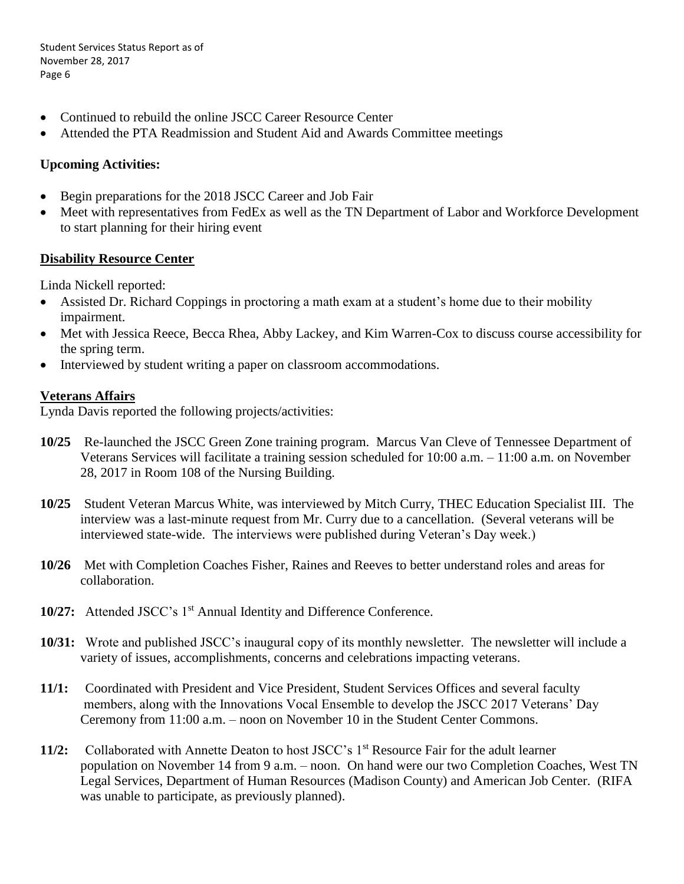Student Services Status Report as of November 28, 2017 Page 6

- Continued to rebuild the online JSCC Career Resource Center
- Attended the PTA Readmission and Student Aid and Awards Committee meetings

### **Upcoming Activities:**

- Begin preparations for the 2018 JSCC Career and Job Fair
- Meet with representatives from FedEx as well as the TN Department of Labor and Workforce Development to start planning for their hiring event

#### **Disability Resource Center**

Linda Nickell reported:

- Assisted Dr. Richard Coppings in proctoring a math exam at a student's home due to their mobility impairment.
- Met with Jessica Reece, Becca Rhea, Abby Lackey, and Kim Warren-Cox to discuss course accessibility for the spring term.
- Interviewed by student writing a paper on classroom accommodations.

### **Veterans Affairs**

Lynda Davis reported the following projects/activities:

- **10/25** Re-launched the JSCC Green Zone training program. Marcus Van Cleve of Tennessee Department of Veterans Services will facilitate a training session scheduled for 10:00 a.m. – 11:00 a.m. on November 28, 2017 in Room 108 of the Nursing Building.
- **10/25** Student Veteran Marcus White, was interviewed by Mitch Curry, THEC Education Specialist III. The interview was a last-minute request from Mr. Curry due to a cancellation. (Several veterans will be interviewed state-wide. The interviews were published during Veteran's Day week.)
- **10/26** Met with Completion Coaches Fisher, Raines and Reeves to better understand roles and areas for collaboration.
- 10/27: Attended JSCC's 1<sup>st</sup> Annual Identity and Difference Conference.
- **10/31:** Wrote and published JSCC's inaugural copy of its monthly newsletter. The newsletter will include a variety of issues, accomplishments, concerns and celebrations impacting veterans.
- **11/1:** Coordinated with President and Vice President, Student Services Offices and several faculty members, along with the Innovations Vocal Ensemble to develop the JSCC 2017 Veterans' Day Ceremony from 11:00 a.m. – noon on November 10 in the Student Center Commons.
- **11/2:** Collaborated with Annette Deaton to host JSCC's 1<sup>st</sup> Resource Fair for the adult learner population on November 14 from 9 a.m. – noon. On hand were our two Completion Coaches, West TN Legal Services, Department of Human Resources (Madison County) and American Job Center. (RIFA was unable to participate, as previously planned).